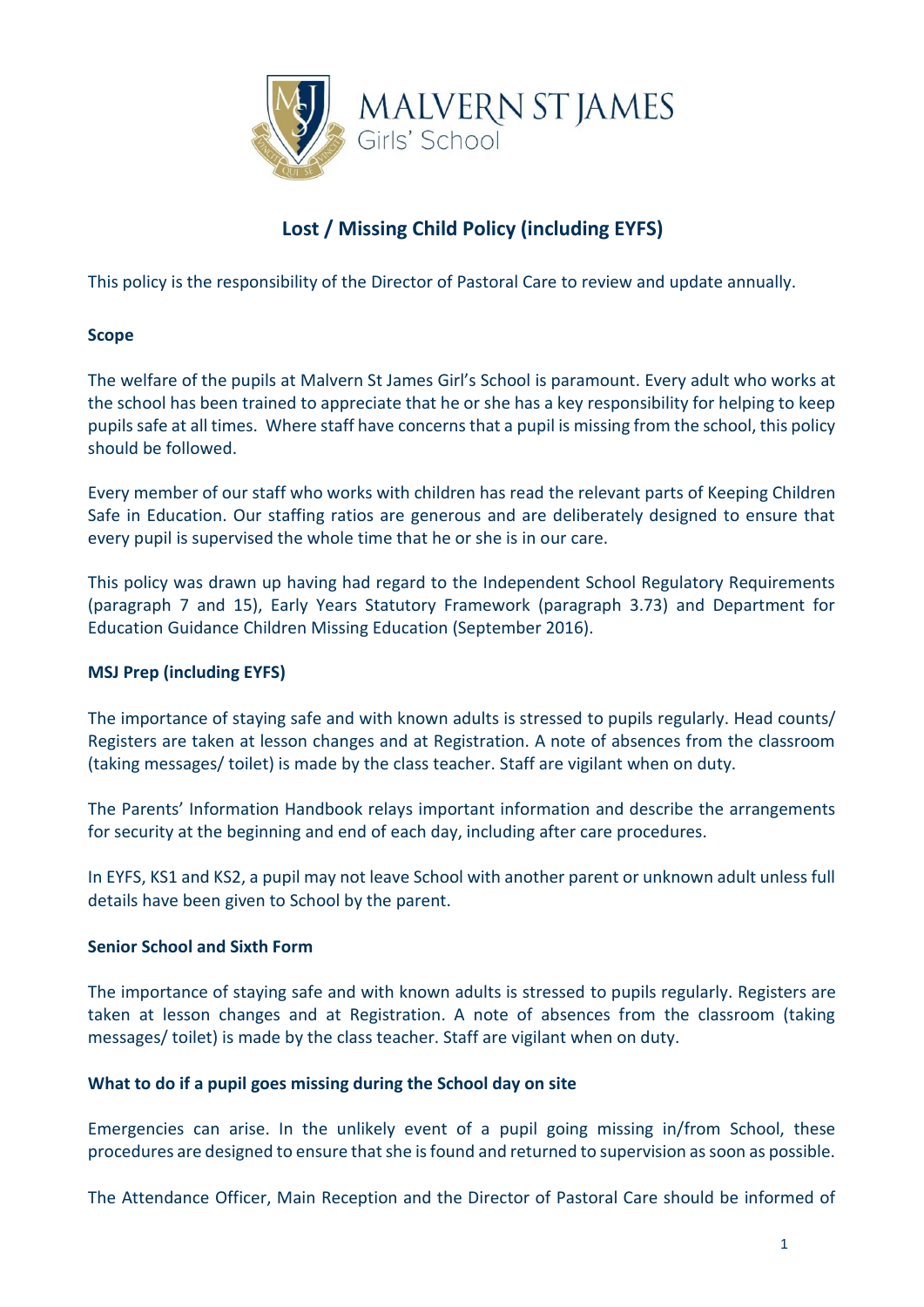

# **Lost / Missing Child Policy (including EYFS)**

This policy is the responsibility of the Director of Pastoral Care to review and update annually.

### **Scope**

The welfare of the pupils at Malvern St James Girl's School is paramount. Every adult who works at the school has been trained to appreciate that he or she has a key responsibility for helping to keep pupilssafe at all times. Where staff have concerns that a pupil is missing from the school, this policy should be followed.

Every member of our staff who works with children has read the relevant parts of Keeping Children Safe in Education. Our staffing ratios are generous and are deliberately designed to ensure that every pupil is supervised the whole time that he or she is in our care.

This policy was drawn up having had regard to the Independent School Regulatory Requirements (paragraph 7 and 15), Early Years Statutory Framework (paragraph 3.73) and Department for Education Guidance Children Missing Education (September 2016).

### **MSJ Prep (including EYFS)**

The importance of staying safe and with known adults is stressed to pupils regularly. Head counts/ Registers are taken at lesson changes and at Registration. A note of absences from the classroom (taking messages/ toilet) is made by the class teacher. Staff are vigilant when on duty.

The Parents' Information Handbook relays important information and describe the arrangements for security at the beginning and end of each day, including after care procedures.

In EYFS, KS1 and KS2, a pupil may not leave School with another parent or unknown adult unless full details have been given to School by the parent.

### **Senior School and Sixth Form**

The importance of staying safe and with known adults is stressed to pupils regularly. Registers are taken at lesson changes and at Registration. A note of absences from the classroom (taking messages/ toilet) is made by the class teacher. Staff are vigilant when on duty.

### **What to do if a pupil goes missing during the School day on site**

Emergencies can arise. In the unlikely event of a pupil going missing in/from School, these procedures are designed to ensure that she is found and returned to supervision as soon as possible.

The Attendance Officer, Main Reception and the Director of Pastoral Care should be informed of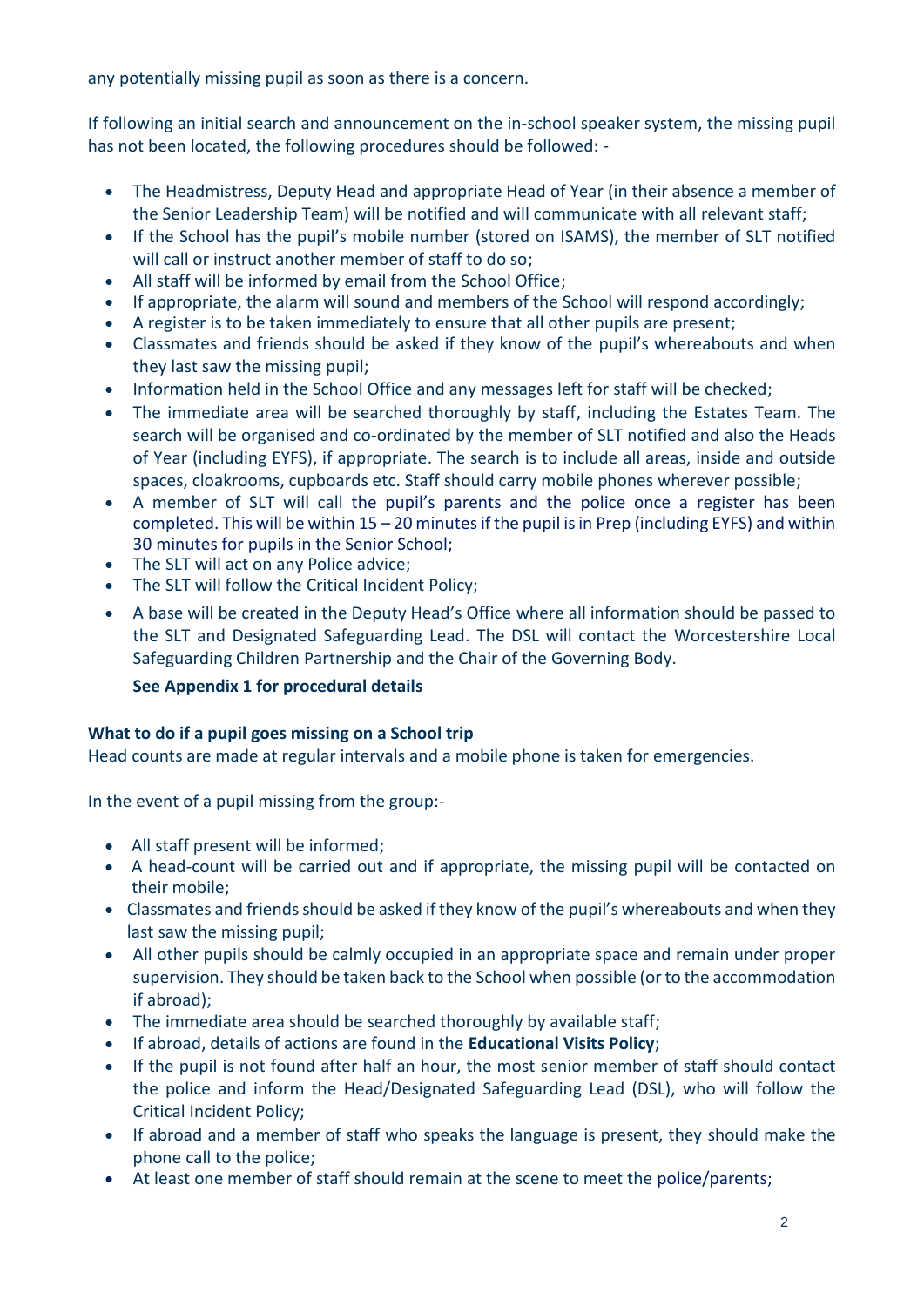any potentially missing pupil as soon as there is a concern.

If following an initial search and announcement on the in-school speaker system, the missing pupil has not been located, the following procedures should be followed: -

- The Headmistress, Deputy Head and appropriate Head of Year (in their absence a member of the Senior Leadership Team) will be notified and will communicate with all relevant staff;
- If the School has the pupil's mobile number (stored on ISAMS), the member of SLT notified will call or instruct another member of staff to do so;
- All staff will be informed by email from the School Office:
- If appropriate, the alarm will sound and members of the School will respond accordingly;
- A register is to be taken immediately to ensure that all other pupils are present;
- Classmates and friends should be asked if they know of the pupil's whereabouts and when they last saw the missing pupil;
- Information held in the School Office and any messages left for staff will be checked;
- The immediate area will be searched thoroughly by staff, including the Estates Team. The search will be organised and co-ordinated by the member of SLT notified and also the Heads of Year (including EYFS), if appropriate. The search is to include all areas, inside and outside spaces, cloakrooms, cupboards etc. Staff should carry mobile phones wherever possible;
- A member of SLT will call the pupil's parents and the police once a register has been completed. This will be within 15 – 20 minutes if the pupil is in Prep (including EYFS) and within 30 minutes for pupils in the Senior School;
- The SLT will act on any Police advice;
- The SLT will follow the Critical Incident Policy;
- A base will be created in the Deputy Head's Office where all information should be passed to the SLT and Designated Safeguarding Lead. The DSL will contact the Worcestershire Local Safeguarding Children Partnership and the Chair of the Governing Body.

# **See Appendix 1 for procedural details**

# **What to do if a pupil goes missing on a School trip**

Head counts are made at regular intervals and a mobile phone is taken for emergencies.

In the event of a pupil missing from the group:-

- All staff present will be informed;
- A head-count will be carried out and if appropriate, the missing pupil will be contacted on their mobile;
- Classmates and friends should be asked if they know of the pupil's whereabouts and when they last saw the missing pupil;
- All other pupils should be calmly occupied in an appropriate space and remain under proper supervision. They should be taken back to the School when possible (or to the accommodation if abroad);
- The immediate area should be searched thoroughly by available staff;
- If abroad, details of actions are found in the **Educational Visits Policy**;
- If the pupil is not found after half an hour, the most senior member of staff should contact the police and inform the Head/Designated Safeguarding Lead (DSL), who will follow the Critical Incident Policy;
- If abroad and a member of staff who speaks the language is present, they should make the phone call to the police;
- At least one member of staff should remain at the scene to meet the police/parents;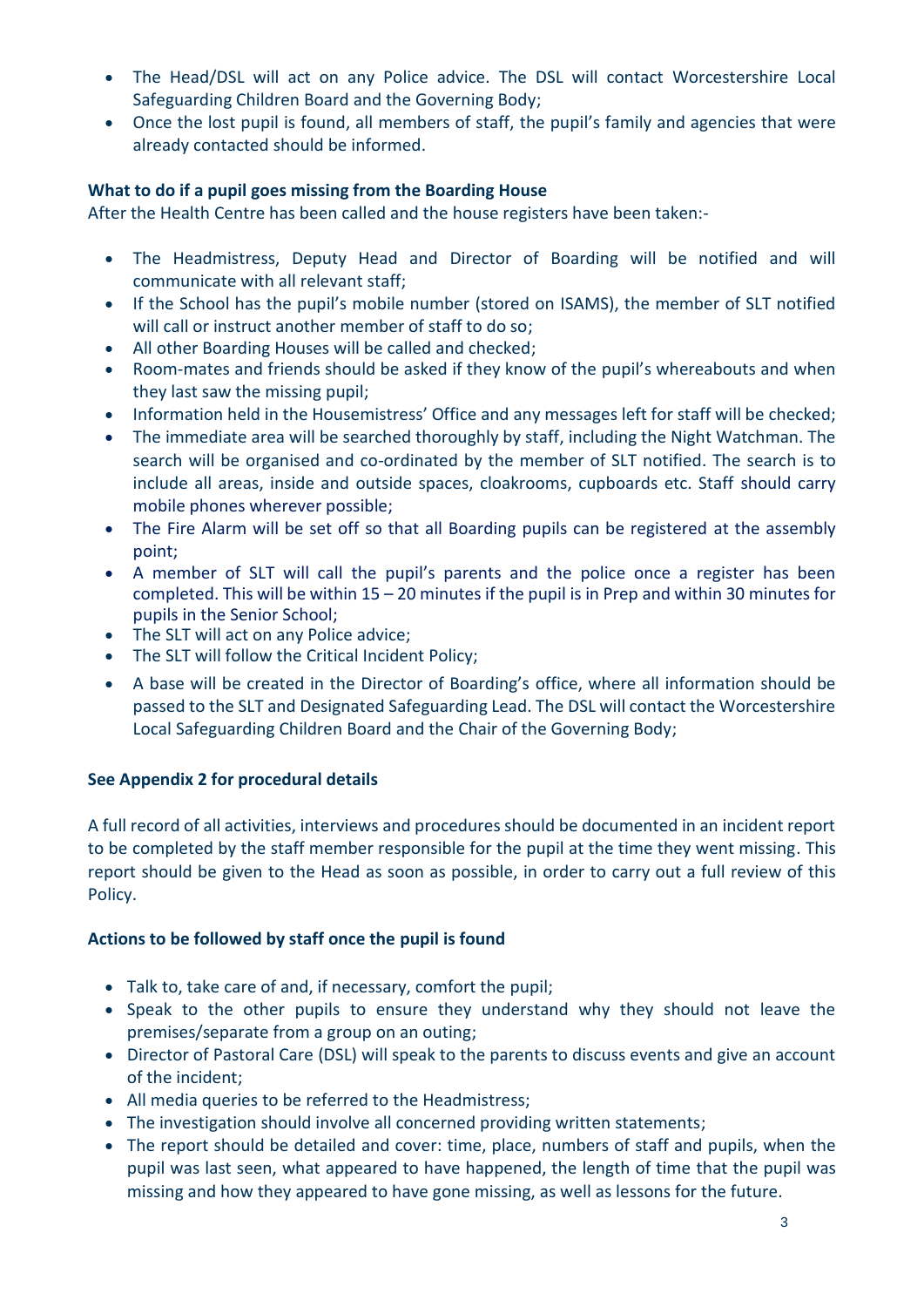- The Head/DSL will act on any Police advice. The DSL will contact Worcestershire Local Safeguarding Children Board and the Governing Body;
- Once the lost pupil is found, all members of staff, the pupil's family and agencies that were already contacted should be informed.

# **What to do if a pupil goes missing from the Boarding House**

After the Health Centre has been called and the house registers have been taken:-

- The Headmistress, Deputy Head and Director of Boarding will be notified and will communicate with all relevant staff;
- If the School has the pupil's mobile number (stored on ISAMS), the member of SLT notified will call or instruct another member of staff to do so;
- All other Boarding Houses will be called and checked;
- Room-mates and friends should be asked if they know of the pupil's whereabouts and when they last saw the missing pupil;
- Information held in the Housemistress' Office and any messages left for staff will be checked;
- The immediate area will be searched thoroughly by staff, including the Night Watchman. The search will be organised and co-ordinated by the member of SLT notified. The search is to include all areas, inside and outside spaces, cloakrooms, cupboards etc. Staff should carry mobile phones wherever possible;
- The Fire Alarm will be set off so that all Boarding pupils can be registered at the assembly point;
- A member of SLT will call the pupil's parents and the police once a register has been completed. This will be within 15 – 20 minutes if the pupil is in Prep and within 30 minutes for pupils in the Senior School;
- The SLT will act on any Police advice;
- The SLT will follow the Critical Incident Policy;
- A base will be created in the Director of Boarding's office, where all information should be passed to the SLT and Designated Safeguarding Lead. The DSL will contact the Worcestershire Local Safeguarding Children Board and the Chair of the Governing Body;

# **See Appendix 2 for procedural details**

A full record of all activities, interviews and procedures should be documented in an incident report to be completed by the staff member responsible for the pupil at the time they went missing. This report should be given to the Head as soon as possible, in order to carry out a full review of this Policy.

# **Actions to be followed by staff once the pupil is found**

- Talk to, take care of and, if necessary, comfort the pupil;
- Speak to the other pupils to ensure they understand why they should not leave the premises/separate from a group on an outing;
- Director of Pastoral Care (DSL) will speak to the parents to discuss events and give an account of the incident;
- All media queries to be referred to the Headmistress;
- The investigation should involve all concerned providing written statements;
- The report should be detailed and cover: time, place, numbers of staff and pupils, when the pupil was last seen, what appeared to have happened, the length of time that the pupil was missing and how they appeared to have gone missing, as well as lessons for the future.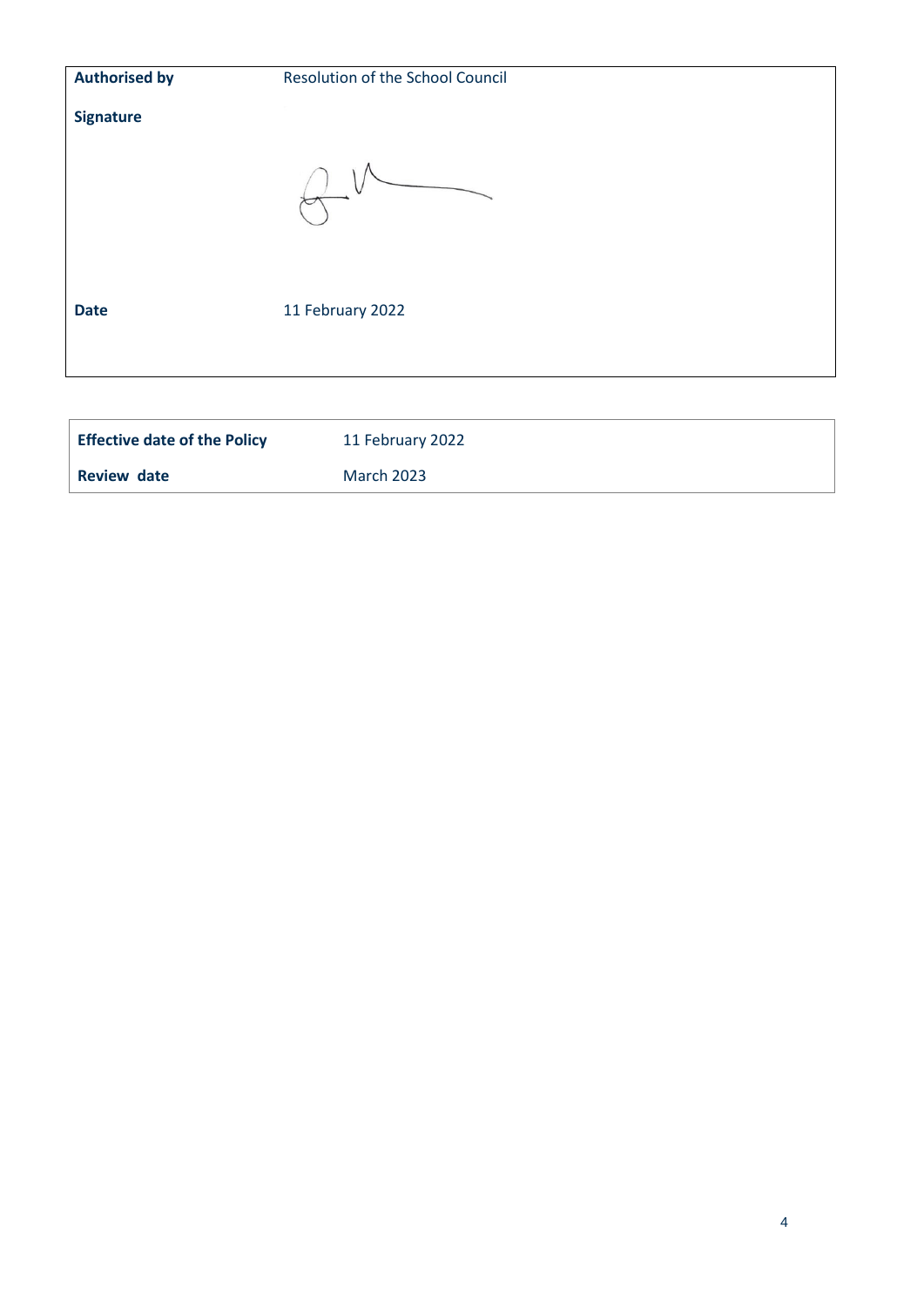| <b>Authorised by</b> | Resolution of the School Council |  |
|----------------------|----------------------------------|--|
| <b>Signature</b>     |                                  |  |
|                      |                                  |  |
| <b>Date</b>          | 11 February 2022                 |  |
|                      |                                  |  |

| <b>Effective date of the Policy</b> | 11 February 2022  |
|-------------------------------------|-------------------|
| Review date                         | <b>March 2023</b> |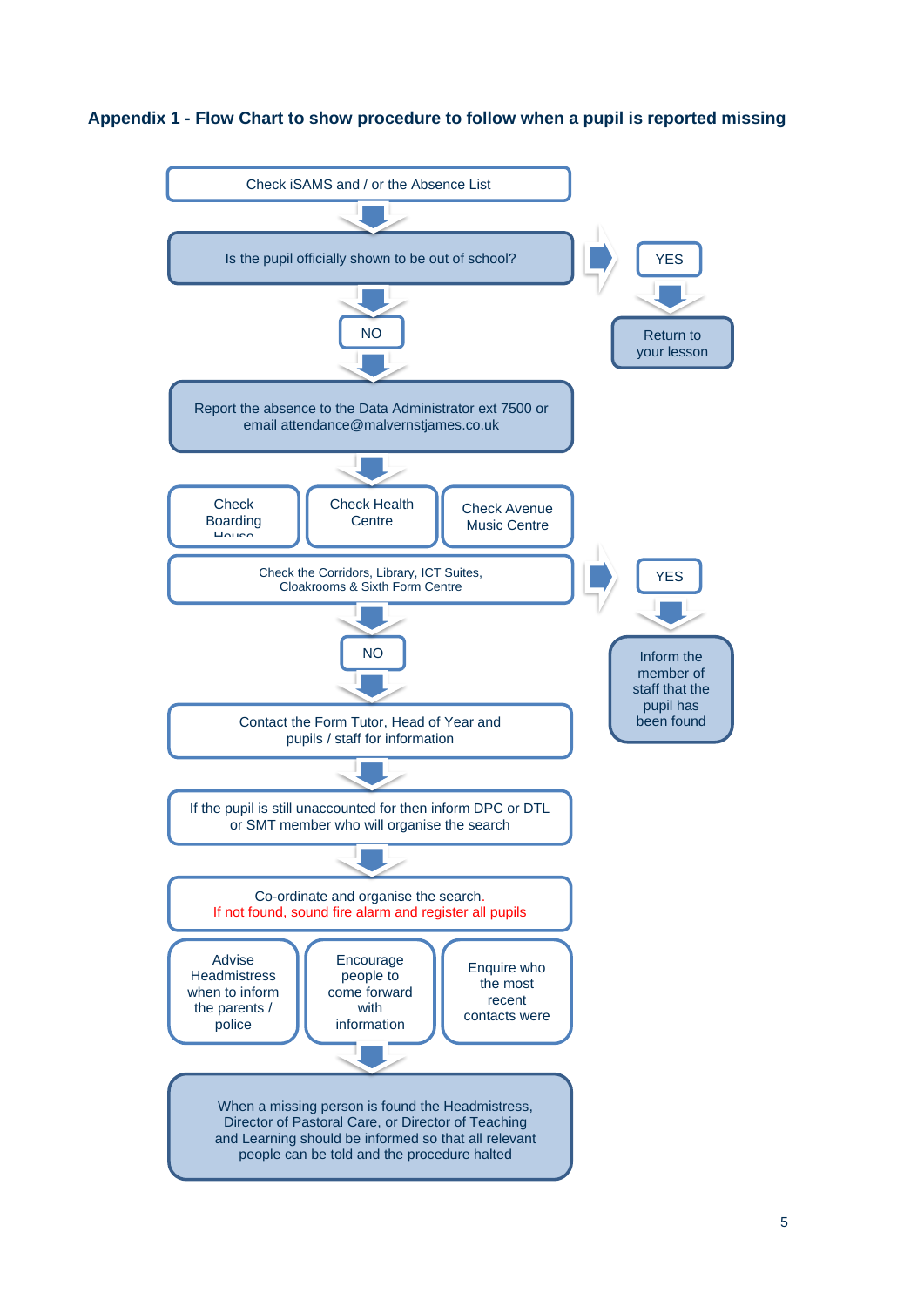### **Appendix 1 - Flow Chart to show procedure to follow when a pupil is reported missing**